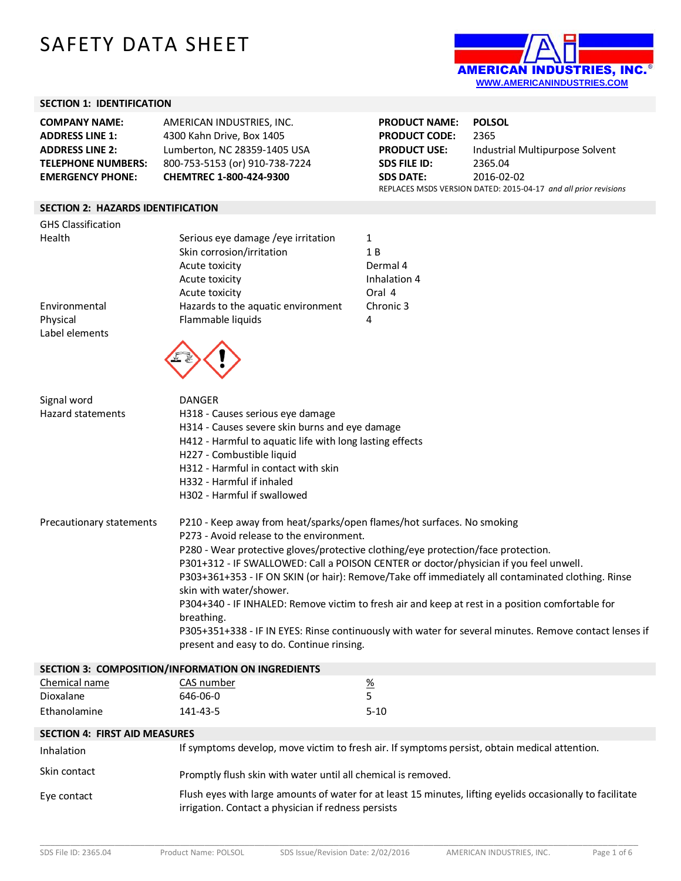# SAFETY DATA SHEET



#### **SECTION 1: IDENTIFICATION**

| <b>COMPANY NAME:</b><br><b>ADDRESS LINE 1:</b><br><b>ADDRESS LINE 2:</b><br><b>TELEPHONE NUMBERS:</b><br><b>EMERGENCY PHONE:</b> | AMERICAN INDUSTRIES, INC.<br>4300 Kahn Drive, Box 1405<br>Lumberton, NC 28359-1405 USA<br>800-753-5153 (or) 910-738-7224<br>CHEMTREC 1-800-424-9300                                                                                                                                                                                                                                                                                                                                                                                                                                                                                                                                                       |                                                               | <b>POLSOL</b><br>2365<br>Industrial Multipurpose Solvent<br>2365.04<br>2016-02-02<br>REPLACES MSDS VERSION DATED: 2015-04-17 and all prior revisions |  |
|----------------------------------------------------------------------------------------------------------------------------------|-----------------------------------------------------------------------------------------------------------------------------------------------------------------------------------------------------------------------------------------------------------------------------------------------------------------------------------------------------------------------------------------------------------------------------------------------------------------------------------------------------------------------------------------------------------------------------------------------------------------------------------------------------------------------------------------------------------|---------------------------------------------------------------|------------------------------------------------------------------------------------------------------------------------------------------------------|--|
| <b>SECTION 2: HAZARDS IDENTIFICATION</b>                                                                                         |                                                                                                                                                                                                                                                                                                                                                                                                                                                                                                                                                                                                                                                                                                           |                                                               |                                                                                                                                                      |  |
| <b>GHS Classification</b>                                                                                                        |                                                                                                                                                                                                                                                                                                                                                                                                                                                                                                                                                                                                                                                                                                           |                                                               |                                                                                                                                                      |  |
| Health                                                                                                                           | Serious eye damage / eye irritation<br>Skin corrosion/irritation<br>Acute toxicity<br>Acute toxicity<br>Acute toxicity                                                                                                                                                                                                                                                                                                                                                                                                                                                                                                                                                                                    | 1<br>1B<br>Dermal 4<br>Inhalation 4<br>Oral 4                 |                                                                                                                                                      |  |
| Environmental                                                                                                                    | Hazards to the aquatic environment                                                                                                                                                                                                                                                                                                                                                                                                                                                                                                                                                                                                                                                                        | Chronic 3                                                     |                                                                                                                                                      |  |
| Physical<br>Label elements                                                                                                       | Flammable liquids                                                                                                                                                                                                                                                                                                                                                                                                                                                                                                                                                                                                                                                                                         | 4                                                             |                                                                                                                                                      |  |
| Signal word                                                                                                                      | <b>DANGER</b>                                                                                                                                                                                                                                                                                                                                                                                                                                                                                                                                                                                                                                                                                             |                                                               |                                                                                                                                                      |  |
| <b>Hazard statements</b>                                                                                                         | H318 - Causes serious eye damage<br>H314 - Causes severe skin burns and eye damage<br>H412 - Harmful to aquatic life with long lasting effects<br>H227 - Combustible liquid<br>H312 - Harmful in contact with skin<br>H332 - Harmful if inhaled<br>H302 - Harmful if swallowed                                                                                                                                                                                                                                                                                                                                                                                                                            |                                                               |                                                                                                                                                      |  |
| Precautionary statements                                                                                                         | P210 - Keep away from heat/sparks/open flames/hot surfaces. No smoking<br>P273 - Avoid release to the environment.<br>P280 - Wear protective gloves/protective clothing/eye protection/face protection.<br>P301+312 - IF SWALLOWED: Call a POISON CENTER or doctor/physician if you feel unwell.<br>P303+361+353 - IF ON SKIN (or hair): Remove/Take off immediately all contaminated clothing. Rinse<br>skin with water/shower.<br>P304+340 - IF INHALED: Remove victim to fresh air and keep at rest in a position comfortable for<br>breathing.<br>P305+351+338 - IF IN EYES: Rinse continuously with water for several minutes. Remove contact lenses if<br>present and easy to do. Continue rinsing. |                                                               |                                                                                                                                                      |  |
|                                                                                                                                  | SECTION 3: COMPOSITION/INFORMATION ON INGREDIENTS                                                                                                                                                                                                                                                                                                                                                                                                                                                                                                                                                                                                                                                         |                                                               |                                                                                                                                                      |  |
| Chemical name<br>Dioxalane<br>Ethanolamine                                                                                       | CAS number<br>646-06-0<br>141-43-5                                                                                                                                                                                                                                                                                                                                                                                                                                                                                                                                                                                                                                                                        | $\frac{9}{6}$<br>5<br>$5 - 10$                                |                                                                                                                                                      |  |
| <b>SECTION 4: FIRST AID MEASURES</b>                                                                                             |                                                                                                                                                                                                                                                                                                                                                                                                                                                                                                                                                                                                                                                                                                           |                                                               |                                                                                                                                                      |  |
| Inhalation                                                                                                                       | If symptoms develop, move victim to fresh air. If symptoms persist, obtain medical attention.                                                                                                                                                                                                                                                                                                                                                                                                                                                                                                                                                                                                             |                                                               |                                                                                                                                                      |  |
| Skin contact                                                                                                                     |                                                                                                                                                                                                                                                                                                                                                                                                                                                                                                                                                                                                                                                                                                           | Promptly flush skin with water until all chemical is removed. |                                                                                                                                                      |  |
| Eve contact                                                                                                                      | Flush eyes with large amounts of water for at least 15 minutes, lifting eyelids occasionally to facilitate                                                                                                                                                                                                                                                                                                                                                                                                                                                                                                                                                                                                |                                                               |                                                                                                                                                      |  |

Eye contact Flush eyes with large amounts of water for at least 15 minutes, lifting eyelids occasionally to facilitate irrigation. Contact a physician if redness persists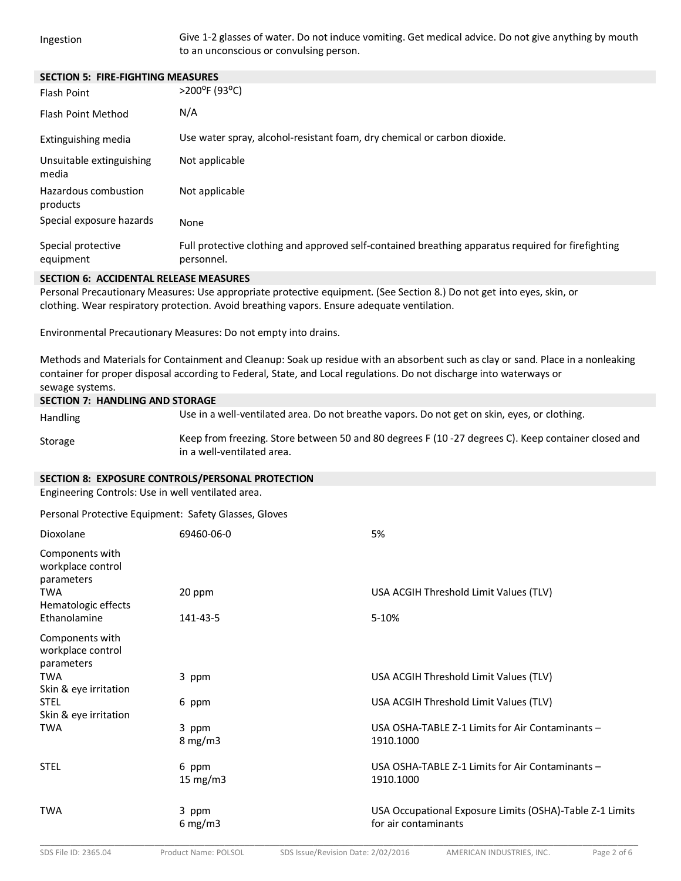Ingestion Give 1-2 glasses of water. Do not induce vomiting. Get medical advice. Do not give anything by mouth to an unconscious or convulsing person.

| <b>SECTION 5: FIRE-FIGHTING MEASURES</b> |                                                                                                                  |
|------------------------------------------|------------------------------------------------------------------------------------------------------------------|
| Flash Point                              | >200°F (93°C)                                                                                                    |
| Flash Point Method                       | N/A                                                                                                              |
| Extinguishing media                      | Use water spray, alcohol-resistant foam, dry chemical or carbon dioxide.                                         |
| Unsuitable extinguishing<br>media        | Not applicable                                                                                                   |
| Hazardous combustion<br>products         | Not applicable                                                                                                   |
| Special exposure hazards                 | None                                                                                                             |
| Special protective<br>equipment          | Full protective clothing and approved self-contained breathing apparatus required for firefighting<br>personnel. |

### **SECTION 6: ACCIDENTAL RELEASE MEASURES**

Personal Precautionary Measures: Use appropriate protective equipment. (See Section 8.) Do not get into eyes, skin, or clothing. Wear respiratory protection. Avoid breathing vapors. Ensure adequate ventilation.

Environmental Precautionary Measures: Do not empty into drains.

Methods and Materials for Containment and Cleanup: Soak up residue with an absorbent such as clay or sand. Place in a nonleaking container for proper disposal according to Federal, State, and Local regulations. Do not discharge into waterways or sewage systems.**7**

| <b>SECTION 7: HANDLING AND STORAGE</b> |                                                                                                                                  |  |  |
|----------------------------------------|----------------------------------------------------------------------------------------------------------------------------------|--|--|
| <b>Handling</b>                        | Use in a well-ventilated area. Do not breathe vapors. Do not get on skin, eyes, or clothing.                                     |  |  |
| Storage                                | Keep from freezing. Store between 50 and 80 degrees F (10-27 degrees C). Keep container closed and<br>in a well-ventilated area. |  |  |

## **SECTION 8: EXPOSURE CONTROLS/PERSONAL PROTECTION**

Engineering Controls: Use in well ventilated area.

Personal Protective Equipment: Safety Glasses, Gloves

| Dioxolane                                          | 69460-06-0                | 5%                                                                               |
|----------------------------------------------------|---------------------------|----------------------------------------------------------------------------------|
| Components with<br>workplace control<br>parameters |                           |                                                                                  |
| <b>TWA</b><br>Hematologic effects                  | 20 ppm                    | USA ACGIH Threshold Limit Values (TLV)                                           |
| Ethanolamine                                       | 141-43-5                  | 5-10%                                                                            |
| Components with<br>workplace control<br>parameters |                           |                                                                                  |
| <b>TWA</b><br>Skin & eye irritation                | 3 ppm                     | USA ACGIH Threshold Limit Values (TLV)                                           |
| <b>STEL</b><br>Skin & eye irritation               | 6 ppm                     | USA ACGIH Threshold Limit Values (TLV)                                           |
| <b>TWA</b>                                         | 3 ppm<br>$8 \text{ mg/m}$ | USA OSHA-TABLE Z-1 Limits for Air Contaminants -<br>1910.1000                    |
| <b>STEL</b>                                        | 6 ppm<br>15 $mg/m3$       | USA OSHA-TABLE 7-1 Limits for Air Contaminants -<br>1910.1000                    |
| <b>TWA</b>                                         | 3 ppm<br>6 mg/m $3$       | USA Occupational Exposure Limits (OSHA)-Table Z-1 Limits<br>for air contaminants |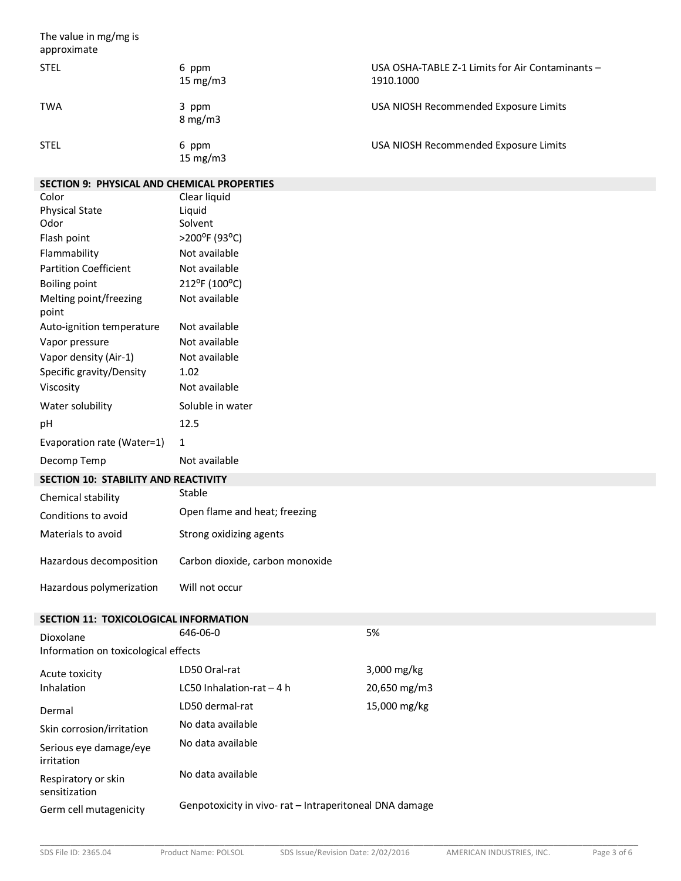The value in mg/mg is approximate STEL 6 ppm 15 mg/m3 USA OSHA-TABLE Z-1 Limits for Air Contaminants – 1910.1000 TWA 3 ppm 8 mg/m3 USA NIOSH Recommended Exposure Limits STEL 6 ppm 15 mg/m3 USA NIOSH Recommended Exposure Limits

# **SECTION 9: PHYSICAL AND CHEMICAL PROPERTIES**

| SECTION 9: PHYSICAL AND CHEMICAL PROPERTIES |                                 |
|---------------------------------------------|---------------------------------|
| Color                                       | Clear liquid                    |
| <b>Physical State</b>                       | Liquid                          |
| Odor                                        | Solvent                         |
| Flash point                                 | >200°F (93°C)                   |
| Flammability                                | Not available                   |
| <b>Partition Coefficient</b>                | Not available                   |
| <b>Boiling point</b>                        | 212°F (100°C)                   |
| Melting point/freezing<br>point             | Not available                   |
| Auto-ignition temperature                   | Not available                   |
| Vapor pressure                              | Not available                   |
| Vapor density (Air-1)                       | Not available                   |
| Specific gravity/Density                    | 1.02                            |
| Viscosity                                   | Not available                   |
| Water solubility                            | Soluble in water                |
| рH                                          | 12.5                            |
| Evaporation rate (Water=1)                  | 1                               |
| Decomp Temp                                 | Not available                   |
| <b>SECTION 10: STABILITY AND REACTIVITY</b> |                                 |
| Chemical stability                          | Stable                          |
| Conditions to avoid                         | Open flame and heat; freezing   |
| Materials to avoid                          | Strong oxidizing agents         |
| Hazardous decomposition                     | Carbon dioxide, carbon monoxide |
| Hazardous polymerization                    | Will not occur                  |

# **SECTION 11: TOXICOLOGICAL INFORMATION**

| Dioxolane<br>Information on toxicological effects | 646-06-0                                               | 5%                       |  |
|---------------------------------------------------|--------------------------------------------------------|--------------------------|--|
| Acute toxicity<br>Inhalation                      | LD50 Oral-rat                                          | $3,000$ mg/kg            |  |
|                                                   | LC50 Inhalation-rat $-4$ h                             | $20,650 \,\mathrm{mg/m}$ |  |
| Dermal                                            | LD50 dermal-rat                                        | 15,000 mg/kg             |  |
| Skin corrosion/irritation                         | No data available                                      |                          |  |
| Serious eye damage/eye<br>irritation              | No data available                                      |                          |  |
| Respiratory or skin<br>sensitization              | No data available                                      |                          |  |
| Germ cell mutagenicity                            | Genpotoxicity in vivo-rat - Intraperitoneal DNA damage |                          |  |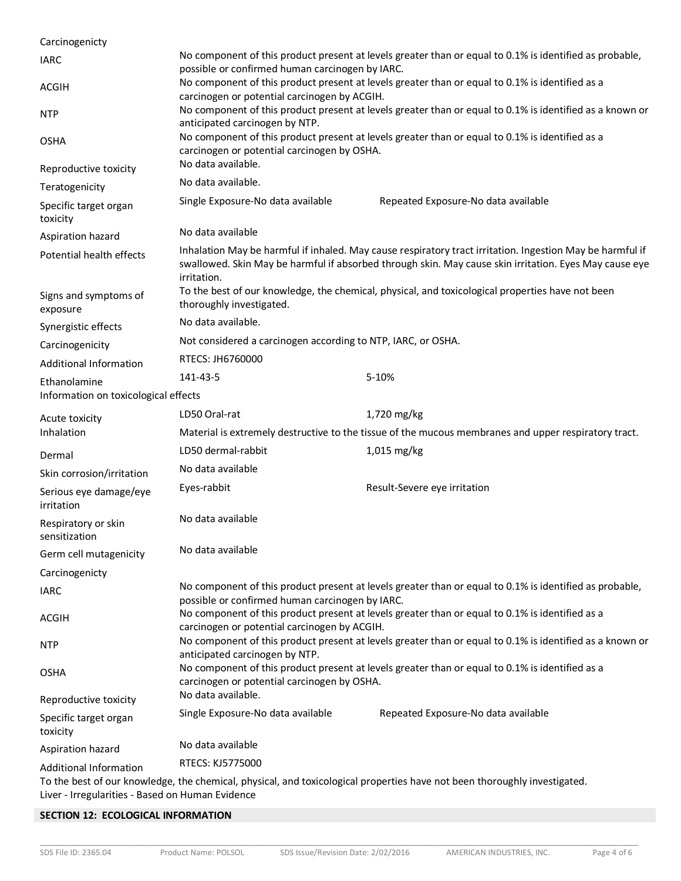| Carcinogenicty                       |                                                                                                                                                            |                                                                                                                                                                                                                     |  |
|--------------------------------------|------------------------------------------------------------------------------------------------------------------------------------------------------------|---------------------------------------------------------------------------------------------------------------------------------------------------------------------------------------------------------------------|--|
| <b>IARC</b>                          | No component of this product present at levels greater than or equal to 0.1% is identified as probable,<br>possible or confirmed human carcinogen by IARC. |                                                                                                                                                                                                                     |  |
| <b>ACGIH</b>                         | No component of this product present at levels greater than or equal to 0.1% is identified as a<br>carcinogen or potential carcinogen by ACGIH.            |                                                                                                                                                                                                                     |  |
| <b>NTP</b>                           | No component of this product present at levels greater than or equal to 0.1% is identified as a known or<br>anticipated carcinogen by NTP.                 |                                                                                                                                                                                                                     |  |
| <b>OSHA</b>                          | No component of this product present at levels greater than or equal to 0.1% is identified as a<br>carcinogen or potential carcinogen by OSHA.             |                                                                                                                                                                                                                     |  |
| Reproductive toxicity                | No data available.                                                                                                                                         |                                                                                                                                                                                                                     |  |
| Teratogenicity                       | No data available.                                                                                                                                         |                                                                                                                                                                                                                     |  |
| Specific target organ<br>toxicity    | Single Exposure-No data available                                                                                                                          | Repeated Exposure-No data available                                                                                                                                                                                 |  |
| Aspiration hazard                    | No data available                                                                                                                                          |                                                                                                                                                                                                                     |  |
| Potential health effects             | irritation.                                                                                                                                                | Inhalation May be harmful if inhaled. May cause respiratory tract irritation. Ingestion May be harmful if<br>swallowed. Skin May be harmful if absorbed through skin. May cause skin irritation. Eyes May cause eye |  |
| Signs and symptoms of<br>exposure    | To the best of our knowledge, the chemical, physical, and toxicological properties have not been<br>thoroughly investigated.                               |                                                                                                                                                                                                                     |  |
| Synergistic effects                  | No data available.                                                                                                                                         |                                                                                                                                                                                                                     |  |
| Carcinogenicity                      | Not considered a carcinogen according to NTP, IARC, or OSHA.                                                                                               |                                                                                                                                                                                                                     |  |
| Additional Information               | RTECS: JH6760000                                                                                                                                           |                                                                                                                                                                                                                     |  |
| Ethanolamine                         | 141-43-5                                                                                                                                                   | 5-10%                                                                                                                                                                                                               |  |
| Information on toxicological effects |                                                                                                                                                            |                                                                                                                                                                                                                     |  |
| Acute toxicity                       | LD50 Oral-rat                                                                                                                                              | 1,720 mg/kg                                                                                                                                                                                                         |  |
| Inhalation                           |                                                                                                                                                            | Material is extremely destructive to the tissue of the mucous membranes and upper respiratory tract.                                                                                                                |  |
| Dermal                               | LD50 dermal-rabbit                                                                                                                                         | 1,015 mg/kg                                                                                                                                                                                                         |  |
| Skin corrosion/irritation            | No data available                                                                                                                                          |                                                                                                                                                                                                                     |  |
| Serious eye damage/eye<br>irritation | Eyes-rabbit                                                                                                                                                | Result-Severe eye irritation                                                                                                                                                                                        |  |
| Respiratory or skin<br>sensitization | No data available                                                                                                                                          |                                                                                                                                                                                                                     |  |
| Germ cell mutagenicity               | No data available                                                                                                                                          |                                                                                                                                                                                                                     |  |
| Carcinogenicty                       |                                                                                                                                                            |                                                                                                                                                                                                                     |  |
| <b>IARC</b>                          | No component of this product present at levels greater than or equal to 0.1% is identified as probable,<br>possible or confirmed human carcinogen by IARC. |                                                                                                                                                                                                                     |  |
| <b>ACGIH</b>                         | No component of this product present at levels greater than or equal to 0.1% is identified as a<br>carcinogen or potential carcinogen by ACGIH.            |                                                                                                                                                                                                                     |  |
| <b>NTP</b>                           | No component of this product present at levels greater than or equal to 0.1% is identified as a known or<br>anticipated carcinogen by NTP.                 |                                                                                                                                                                                                                     |  |
| <b>OSHA</b>                          | carcinogen or potential carcinogen by OSHA.                                                                                                                | No component of this product present at levels greater than or equal to 0.1% is identified as a                                                                                                                     |  |
| Reproductive toxicity                | No data available.                                                                                                                                         |                                                                                                                                                                                                                     |  |
| Specific target organ<br>toxicity    | Single Exposure-No data available                                                                                                                          | Repeated Exposure-No data available                                                                                                                                                                                 |  |
| Aspiration hazard                    | No data available                                                                                                                                          |                                                                                                                                                                                                                     |  |
| Additional Information               | RTECS: KJ5775000                                                                                                                                           |                                                                                                                                                                                                                     |  |
|                                      |                                                                                                                                                            |                                                                                                                                                                                                                     |  |

To the best of our knowledge, the chemical, physical, and toxicological properties have not been thoroughly investigated. Liver - Irregularities - Based on Human Evidence

# **SECTION 12: ECOLOGICAL INFORMATION**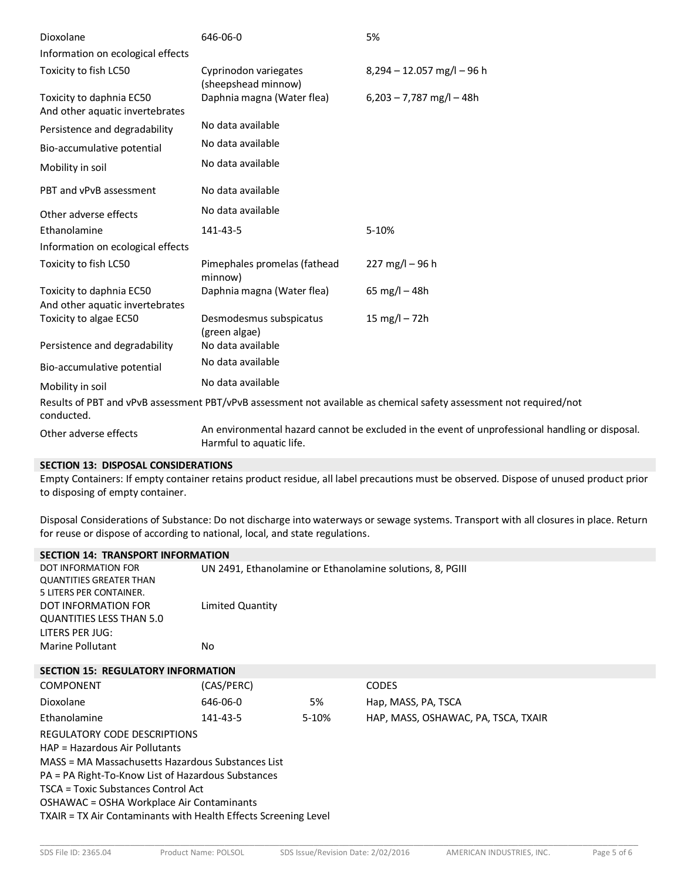| Dioxolane                                                   | 646-06-0                                     | 5%                                                                                                                  |
|-------------------------------------------------------------|----------------------------------------------|---------------------------------------------------------------------------------------------------------------------|
| Information on ecological effects                           |                                              |                                                                                                                     |
| Toxicity to fish LC50                                       | Cyprinodon variegates<br>(sheepshead minnow) | $8,294 - 12.057$ mg/l - 96 h                                                                                        |
| Toxicity to daphnia EC50<br>And other aquatic invertebrates | Daphnia magna (Water flea)                   | $6,203 - 7,787$ mg/l $-48h$                                                                                         |
| Persistence and degradability                               | No data available                            |                                                                                                                     |
| Bio-accumulative potential                                  | No data available                            |                                                                                                                     |
| Mobility in soil                                            | No data available                            |                                                                                                                     |
| PBT and vPvB assessment                                     | No data available                            |                                                                                                                     |
| Other adverse effects                                       | No data available                            |                                                                                                                     |
| Ethanolamine                                                | 141-43-5                                     | 5-10%                                                                                                               |
| Information on ecological effects                           |                                              |                                                                                                                     |
| Toxicity to fish LC50                                       | Pimephales promelas (fathead<br>minnow)      | $227 \text{ mg/l} - 96 \text{ h}$                                                                                   |
| Toxicity to daphnia EC50<br>And other aquatic invertebrates | Daphnia magna (Water flea)                   | 65 mg/l $-$ 48h                                                                                                     |
| Toxicity to algae EC50                                      | Desmodesmus subspicatus<br>(green algae)     | 15 mg/l $- 72h$                                                                                                     |
| Persistence and degradability                               | No data available                            |                                                                                                                     |
| Bio-accumulative potential                                  | No data available                            |                                                                                                                     |
| Mobility in soil                                            | No data available                            |                                                                                                                     |
| conducted.                                                  |                                              | Results of PBT and vPvB assessment PBT/vPvB assessment not available as chemical safety assessment not required/not |
| Other adverse effects                                       | Harmful to aquatic life.                     | An environmental hazard cannot be excluded in the event of unprofessional handling or disposal.                     |

## **SECTION 13: DISPOSAL CONSIDERATIONS**

Empty Containers: If empty container retains product residue, all label precautions must be observed. Dispose of unused product prior to disposing of empty container.

Disposal Considerations of Substance: Do not discharge into waterways or sewage systems. Transport with all closures in place. Return for reuse or dispose of according to national, local, and state regulations.

| <b>SECTION 14: TRANSPORT INFORMATION</b>                        |                                                           |       |                                     |
|-----------------------------------------------------------------|-----------------------------------------------------------|-------|-------------------------------------|
| DOT INFORMATION FOR                                             | UN 2491, Ethanolamine or Ethanolamine solutions, 8, PGIII |       |                                     |
| <b>QUANTITIES GREATER THAN</b>                                  |                                                           |       |                                     |
| 5 LITERS PER CONTAINER.                                         |                                                           |       |                                     |
| DOT INFORMATION FOR                                             | Limited Quantity                                          |       |                                     |
| <b>QUANTITIES LESS THAN 5.0</b>                                 |                                                           |       |                                     |
| LITERS PER JUG:                                                 |                                                           |       |                                     |
| <b>Marine Pollutant</b>                                         | No.                                                       |       |                                     |
| <b>SECTION 15: REGULATORY INFORMATION</b>                       |                                                           |       |                                     |
| <b>COMPONENT</b>                                                | (CAS/PERC)                                                |       | <b>CODES</b>                        |
| Dioxolane                                                       | 646-06-0                                                  | 5%    | Hap, MASS, PA, TSCA                 |
| Ethanolamine                                                    | 141-43-5                                                  | 5-10% | HAP, MASS, OSHAWAC, PA, TSCA, TXAIR |
| REGULATORY CODE DESCRIPTIONS                                    |                                                           |       |                                     |
| HAP = Hazardous Air Pollutants                                  |                                                           |       |                                     |
| MASS = MA Massachusetts Hazardous Substances List               |                                                           |       |                                     |
| PA = PA Right-To-Know List of Hazardous Substances              |                                                           |       |                                     |
| TSCA = Toxic Substances Control Act                             |                                                           |       |                                     |
| OSHAWAC = OSHA Workplace Air Contaminants                       |                                                           |       |                                     |
| TXAIR = TX Air Contaminants with Health Effects Screening Level |                                                           |       |                                     |
|                                                                 |                                                           |       |                                     |